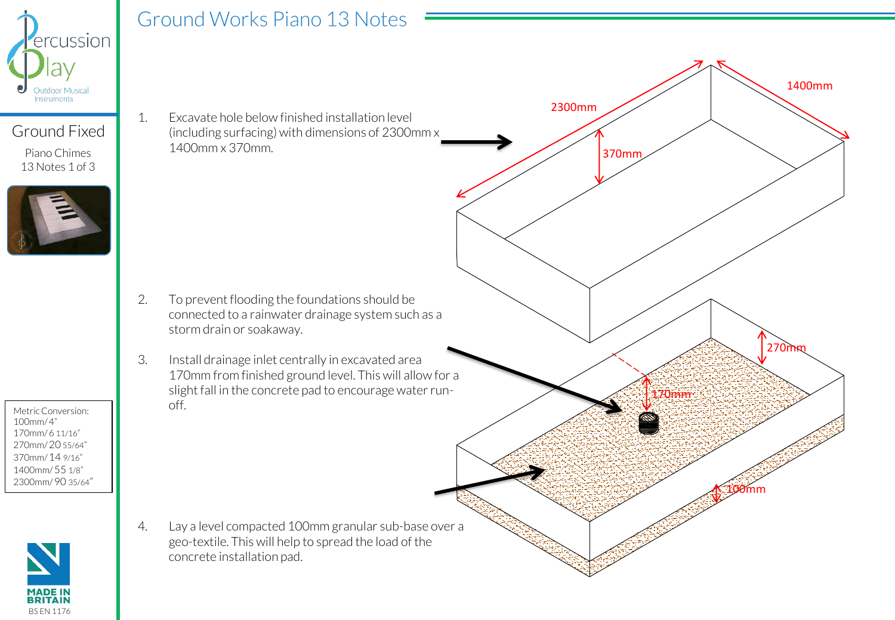

## Ground Works Piano 13 Notes

Ground Fixed

Piano Chimes 13 Notes 1 of 3



Metric Conversion: 100mm/ 4" 170mm/ 6 11/16" 270mm/ 20 55/64" 370mm/ 14 9/16" 1400mm/ 55 1/8" 2300mm/ 90 35/64"



1. Excavate hole below finished installation level (including surfacing) with dimensions of 2300mm x 1400mm x 370mm.

- 2. To prevent flooding the foundations should be connected to a rainwater drainage system such as a storm drain or soakaway.
- 3. Install drainage inlet centrally in excavated area 170mm from finished ground level. This will allow for a slight fall in the concrete pad to encourage water runoff.

4. Lay a level compacted 100mm granular sub-base over a geo-textile. This will help to spread the load of the concrete installation pad.

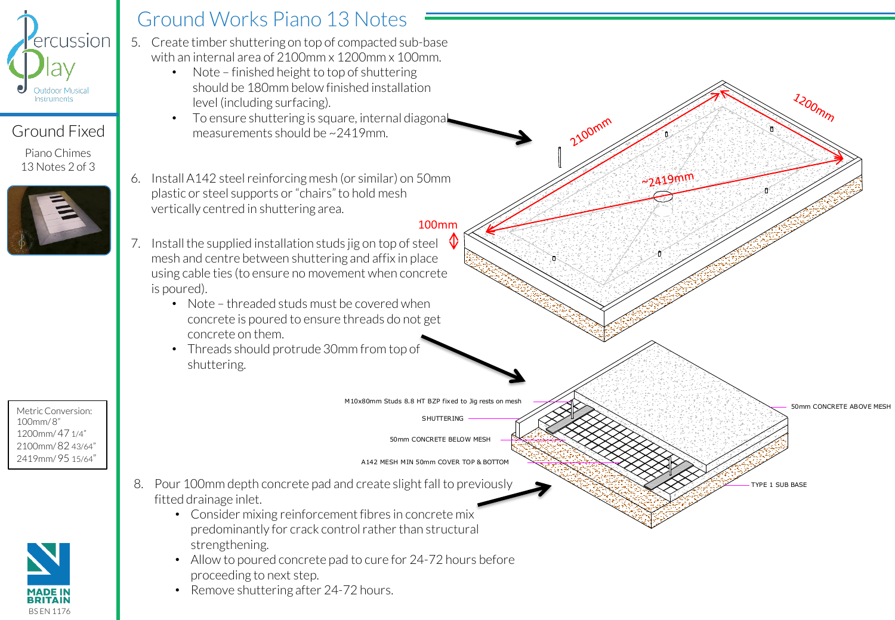

### Ground Fixed

Piano Chimes 13 Notes 2 of 3



Metric Conversion: 100mm/ 8" 1200mm/ 47 1/4" 2100mm/ 82 43/64" 2419mm/ 95 15/64"



# Ground Works Piano 13 Notes

- 5. Create timber shuttering on top of compacted sub-base with an internal area of 2100mm x 1200mm x 100mm.
	- Note finished height to top of shuttering should be 180mm below finished installation level (including surfacing).
	- To ensure shuttering is square, internal diagonal measurements should be ~2419mm.
- 6. Install A142 steel reinforcing mesh (or similar) on 50mm plastic or steel supports or "chairs" to hold mesh vertically centred in shuttering area.

#### 100mm

2100mm

 $~2419$ mm

- 7. Install the supplied installation studs jig on top of steel mesh and centre between shuttering and affix in place using cable ties (to ensure no movement when concrete is poured).
	- Note threaded studs must be covered when concrete is poured to ensure threads do not get concrete on them.
	- Threads should protrude 30mm from top of shuttering.

M10x80mm Studs 8.8 HT BZP fixed to Jig rests on mesh

SHUTTERING

50mm CONCRETE BELOW MESH

A142 MESH MIN 50mm COVER TOP & BOTTOM

TYPE 1 SUB BASE

50mm CONCRETE ABOVE MESH

 $\lambda$ 200 $\eta$ 

- 8. Pour 100mm depth concrete pad and create slight fall to previously fitted drainage inlet.
	- Consider mixing reinforcement fibres in concrete mix predominantly for crack control rather than structural strengthening.
	- Allow to poured concrete pad to cure for 24-72 hours before proceeding to next step.
	- Remove shuttering after 24-72 hours.